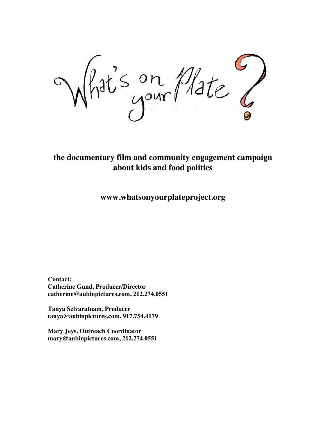$11e$  $\frac{m}{2}$ //a

**the documentary film and community engagement campaign about kids and food politics**

**www.whatsonyourplateproject.org**

**Contact: Catherine Gund, Producer/Director catherine@aubinpictures.com, 212.274.0551**

**Tanya Selvaratnam, Producer tanya@aubinpictures.com, 917.754.4179**

**Mary Jeys, Outreach Coordinator mary@aubinpictures.com, 212.274.0551**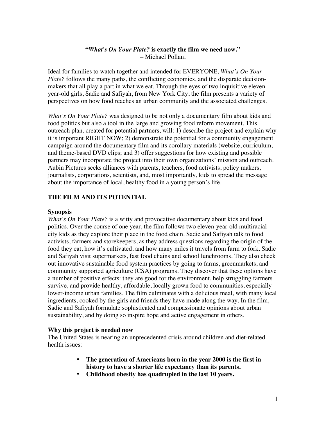## **"***What's On Your Plate?* **is exactly the film we need now."** – Michael Pollan,

Ideal for families to watch together and intended for EVERYONE, *What's On Your Plate?* follows the many paths, the conflicting economics, and the disparate decisionmakers that all play a part in what we eat. Through the eyes of two inquisitive elevenyear-old girls, Sadie and Safiyah, from New York City, the film presents a variety of perspectives on how food reaches an urban community and the associated challenges.

*What's On Your Plate?* was designed to be not only a documentary film about kids and food politics but also a tool in the large and growing food reform movement. This outreach plan, created for potential partners, will: 1) describe the project and explain why it is important RIGHT NOW; 2) demonstrate the potential for a community engagement campaign around the documentary film and its corollary materials (website, curriculum, and theme-based DVD clips; and 3) offer suggestions for how existing and possible partners may incorporate the project into their own organizations' mission and outreach. Aubin Pictures seeks alliances with parents, teachers, food activists, policy makers, journalists, corporations, scientists, and, most importantly, kids to spread the message about the importance of local, healthy food in a young person's life.

## **THE FILM AND ITS POTENTIAL**

#### **Synopsis**

*What's On Your Plate?* is a witty and provocative documentary about kids and food politics. Over the course of one year, the film follows two eleven-year-old multiracial city kids as they explore their place in the food chain. Sadie and Safiyah talk to food activists, farmers and storekeepers, as they address questions regarding the origin of the food they eat, how it's cultivated, and how many miles it travels from farm to fork. Sadie and Safiyah visit supermarkets, fast food chains and school lunchrooms. They also check out innovative sustainable food system practices by going to farms, greenmarkets, and community supported agriculture (CSA) programs. They discover that these options have a number of positive effects: they are good for the environment, help struggling farmers survive, and provide healthy, affordable, locally grown food to communities, especially lower-income urban families. The film culminates with a delicious meal, with many local ingredients, cooked by the girls and friends they have made along the way. In the film, Sadie and Safiyah formulate sophisticated and compassionate opinions about urban sustainability, and by doing so inspire hope and active engagement in others.

## **Why this project is needed now**

The United States is nearing an unprecedented crisis around children and diet-related health issues:

- **The generation of Americans born in the year 2000 is the first in history to have a shorter life expectancy than its parents.**
- **Childhood obesity has quadrupled in the last 10 years.**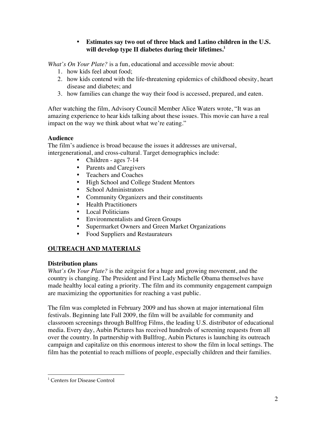# • **Estimates say two out of three black and Latino children in the U.S. will develop type II diabetes during their lifetimes.1**

*What's On Your Plate?* is a fun, educational and accessible movie about:

- 1. how kids feel about food;
- 2. how kids contend with the life-threatening epidemics of childhood obesity, heart disease and diabetes; and
- 3. how families can change the way their food is accessed, prepared, and eaten.

After watching the film, Advisory Council Member Alice Waters wrote, "It was an amazing experience to hear kids talking about these issues. This movie can have a real impact on the way we think about what we're eating."

# **Audience**

The film's audience is broad because the issues it addresses are universal, intergenerational, and cross-cultural. Target demographics include:

- Children ages 7-14
- Parents and Caregivers
- Teachers and Coaches
- High School and College Student Mentors<br>• School Administrators
- School Administrators
- Community Organizers and their constituents
- Health Practitioners<br>• Local Politicians
- Local Politicians
- Environmentalists and Green Groups
- Supermarket Owners and Green Market Organizations
- Food Suppliers and Restaurateurs

# **OUTREACH AND MATERIALS**

## **Distribution plans**

*What's On Your Plate?* is the zeitgeist for a huge and growing movement, and the country is changing. The President and First Lady Michelle Obama themselves have made healthy local eating a priority. The film and its community engagement campaign are maximizing the opportunities for reaching a vast public.

The film was completed in February 2009 and has shown at major international film festivals. Beginning late Fall 2009, the film will be available for community and classroom screenings through Bullfrog Films, the leading U.S. distributor of educational media. Every day, Aubin Pictures has received hundreds of screening requests from all over the country. In partnership with Bullfrog, Aubin Pictures is launching its outreach campaign and capitalize on this enormous interest to show the film in local settings. The film has the potential to reach millions of people, especially children and their families.

 $\frac{1}{1}$ <sup>1</sup> Centers for Disease Control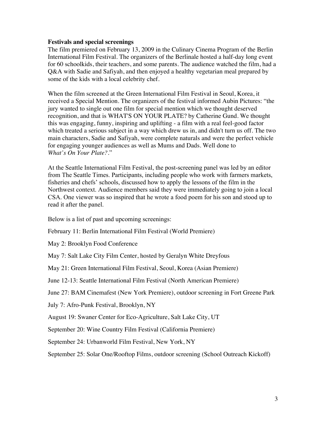#### **Festivals and special screenings**

The film premiered on February 13, 2009 in the Culinary Cinema Program of the Berlin International Film Festival. The organizers of the Berlinale hosted a half-day long event for 60 schoolkids, their teachers, and some parents. The audience watched the film, had a Q&A with Sadie and Safiyah, and then enjoyed a healthy vegetarian meal prepared by some of the kids with a local celebrity chef.

When the film screened at the Green International Film Festival in Seoul, Korea, it received a Special Mention. The organizers of the festival informed Aubin Pictures: "the jury wanted to single out one film for special mention which we thought deserved recognition, and that is WHAT'S ON YOUR PLATE? by Catherine Gund. We thought this was engaging, funny, inspiring and uplifting - a film with a real feel-good factor which treated a serious subject in a way which drew us in, and didn't turn us off. The two main characters, Sadie and Safiyah, were complete naturals and were the perfect vehicle for engaging younger audiences as well as Mums and Dads. Well done to *What's On Your Plate?*."

At the Seattle International Film Festival, the post-screening panel was led by an editor from The Seattle Times. Participants, including people who work with farmers markets, fisheries and chefs' schools, discussed how to apply the lessons of the film in the Northwest context. Audience members said they were immediately going to join a local CSA. One viewer was so inspired that he wrote a food poem for his son and stood up to read it after the panel.

Below is a list of past and upcoming screenings:

February 11: Berlin International Film Festival (World Premiere)

May 2: Brooklyn Food Conference

May 7: Salt Lake City Film Center, hosted by Geralyn White Dreyfous

May 21: Green International Film Festival, Seoul, Korea (Asian Premiere)

June 12-13: Seattle International Film Festival (North American Premiere)

June 27: BAM Cinemafest (New York Premiere), outdoor screening in Fort Greene Park

July 7: Afro-Punk Festival, Brooklyn, NY

August 19: Swaner Center for Eco-Agriculture, Salt Lake City, UT

September 20: Wine Country Film Festival (California Premiere)

September 24: Urbanworld Film Festival, New York, NY

September 25: Solar One/Rooftop Films, outdoor screening (School Outreach Kickoff)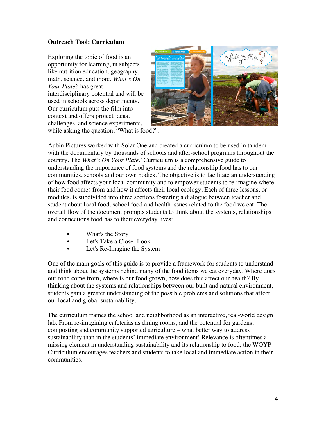#### **Outreach Tool: Curriculum**

Exploring the topic of food is an opportunity for learning, in subjects like nutrition education, geography, math, science, and more. *What's On Your Plate?* has great interdisciplinary potential and will be used in schools across departments. Our curriculum puts the film into context and offers project ideas, challenges, and science experiments,



while asking the question, "What is food?".

Aubin Pictures worked with Solar One and created a curriculum to be used in tandem with the documentary by thousands of schools and after-school programs throughout the country. The *What's On Your Plate?* Curriculum is a comprehensive guide to understanding the importance of food systems and the relationship food has to our communities, schools and our own bodies. The objective is to facilitate an understanding of how food affects your local community and to empower students to re-imagine where their food comes from and how it affects their local ecology. Each of three lessons, or modules, is subdivided into three sections fostering a dialogue between teacher and student about local food, school food and health issues related to the food we eat. The overall flow of the document prompts students to think about the systems, relationships and connections food has to their everyday lives:

- What's the Story
- Let's Take a Closer Look
- Let's Re-Imagine the System

One of the main goals of this guide is to provide a framework for students to understand and think about the systems behind many of the food items we eat everyday. Where does our food come from, where is our food grown, how does this affect our health? By thinking about the systems and relationships between our built and natural environment, students gain a greater understanding of the possible problems and solutions that affect our local and global sustainability.

The curriculum frames the school and neighborhood as an interactive, real-world design lab. From re-imagining cafeterias as dining rooms, and the potential for gardens, composting and community supported agriculture – what better way to address sustainability than in the students' immediate environment! Relevance is oftentimes a missing element in understanding sustainability and its relationship to food; the WOYP Curriculum encourages teachers and students to take local and immediate action in their communities.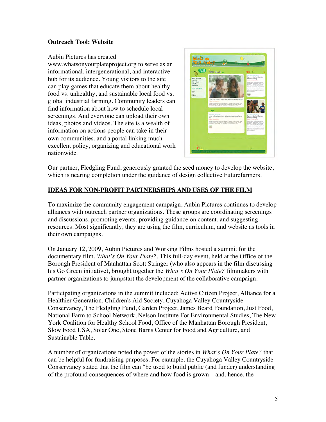## **Outreach Tool: Website**

#### Aubin Pictures has created

www.whatsonyourplateproject.org to serve as an informational, intergenerational, and interactive hub for its audience. Young visitors to the site can play games that educate them about healthy food vs. unhealthy, and sustainable local food vs. global industrial farming. Community leaders can find information about how to schedule local screenings. And everyone can upload their own ideas, photos and videos. The site is a wealth of information on actions people can take in their own communities, and a portal linking much excellent policy, organizing and educational work nationwide.



Our partner, Fledgling Fund, generously granted the seed money to develop the website, which is nearing completion under the guidance of design collective Futurefarmers.

# **IDEAS FOR NON-PROFIT PARTNERSHIPS AND USES OF THE FILM**

To maximize the community engagement campaign, Aubin Pictures continues to develop alliances with outreach partner organizations. These groups are coordinating screenings and discussions, promoting events, providing guidance on content, and suggesting resources. Most significantly, they are using the film, curriculum, and website as tools in their own campaigns.

On January 12, 2009, Aubin Pictures and Working Films hosted a summit for the documentary film, *What's On Your Plate?.* This full-day event, held at the Office of the Borough President of Manhattan Scott Stringer (who also appears in the film discussing his Go Green initiative), brought together the *What's On Your Plate?* filmmakers with partner organizations to jumpstart the development of the collaborative campaign.

Participating organizations in the *s*ummit included: Active Citizen Project, Alliance for a Healthier Generation, Children's Aid Society, Cuyahoga Valley Countryside Conservancy, The Fledgling Fund, Garden Project, James Beard Foundation, Just Food, National Farm to School Network, Nelson Institute For Environmental Studies, The New York Coalition for Healthy School Food, Office of the Manhattan Borough President, Slow Food USA, Solar One, Stone Barns Center for Food and Agriculture, and Sustainable Table.

A number of organizations noted the power of the stories in *What's On Your Plate?* that can be helpful for fundraising purposes. For example, the Cuyahoga Valley Countryside Conservancy stated that the film can "be used to build public (and funder) understanding of the profound consequences of where and how food is grown – and, hence, the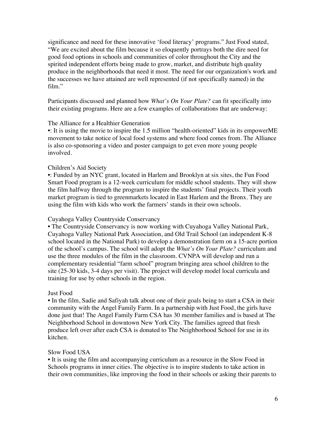significance and need for these innovative 'food literacy' programs." Just Food stated, "We are excited about the film because it so eloquently portrays both the dire need for good food options in schools and communities of color throughout the City and the spirited independent efforts being made to grow, market, and distribute high quality produce in the neighborhoods that need it most. The need for our organization's work and the successes we have attained are well represented (if not specifically named) in the film."

Participants discussed and planned how *What's On Your Plate?* can fit specifically into their existing programs. Here are a few examples of collaborations that are underway:

#### The Alliance for a Healthier Generation

•: It is using the movie to inspire the 1.5 million "health-oriented" kids in its empowerME movement to take notice of local food systems and where food comes from. The Alliance is also co-sponsoring a video and poster campaign to get even more young people involved.

#### Children's Aid Society

•: Funded by an NYC grant, located in Harlem and Brooklyn at six sites, the Fun Food Smart Food program is a 12-week curriculum for middle school students. They will show the film halfway through the program to inspire the students' final projects. Their youth market program is tied to greenmarkets located in East Harlem and the Bronx. They are using the film with kids who work the farmers' stands in their own schools.

#### Cuyahoga Valley Countryside Conservancy

• The Countryside Conservancy is now working with Cuyahoga Valley National Park, Cuyahoga Valley National Park Association, and Old Trail School (an independent K-8 school located in the National Park) to develop a demonstration farm on a 15-acre portion of the school's campus. The school will adopt the *What's On Your Plate?* curriculum and use the three modules of the film in the classroom. CVNPA will develop and run a complementary residential "farm school" program bringing area school children to the site (25-30 kids, 3-4 days per visit). The project will develop model local curricula and training for use by other schools in the region.

#### Just Food

• In the film, Sadie and Safiyah talk about one of their goals being to start a CSA in their community with the Angel Family Farm. In a partnership with Just Food, the girls have done just that! The Angel Family Farm CSA has 30 member families and is based at The Neighborhood School in downtown New York City. The families agreed that fresh produce left over after each CSA is donated to The Neighborhood School for use in its kitchen.

#### Slow Food USA

• It is using the film and accompanying curriculum as a resource in the Slow Food in Schools programs in inner cities. The objective is to inspire students to take action in their own communities, like improving the food in their schools or asking their parents to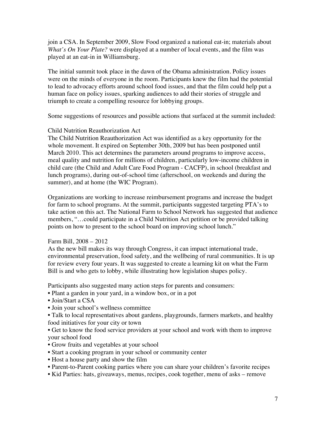join a CSA. In September 2009, Slow Food organized a national eat-in; materials about *What's On Your Plate?* were displayed at a number of local events, and the film was played at an eat-in in Williamsburg.

The initial summit took place in the dawn of the Obama administration. Policy issues were on the minds of everyone in the room. Participants knew the film had the potential to lead to advocacy efforts around school food issues, and that the film could help put a human face on policy issues, sparking audiences to add their stories of struggle and triumph to create a compelling resource for lobbying groups.

Some suggestions of resources and possible actions that surfaced at the summit included:

#### Child Nutrition Reauthorization Act

The Child Nutrition Reauthorization Act was identified as a key opportunity for the whole movement. It expired on September 30th, 2009 but has been postponed until March 2010. This act determines the parameters around programs to improve access, meal quality and nutrition for millions of children, particularly low-income children in child care (the Child and Adult Care Food Program - CACFP), in school (breakfast and lunch programs), during out-of-school time (afterschool, on weekends and during the summer), and at home (the WIC Program).

Organizations are working to increase reimbursement programs and increase the budget for farm to school programs. At the summit, participants suggested targeting PTA's to take action on this act. The National Farm to School Network has suggested that audience members, "…could participate in a Child Nutrition Act petition or be provided talking points on how to present to the school board on improving school lunch."

#### Farm Bill, 2008 – 2012

As the new bill makes its way through Congress, it can impact international trade, environmental preservation, food safety, and the wellbeing of rural communities. It is up for review every four years. It was suggested to create a learning kit on what the Farm Bill is and who gets to lobby, while illustrating how legislation shapes policy.

Participants also suggested many action steps for parents and consumers:

- Plant a garden in your yard, in a window box, or in a pot
- Join/Start a CSA
- Join your school's wellness committee

• Talk to local representatives about gardens, playgrounds, farmers markets, and healthy food initiatives for your city or town

- Get to know the food service providers at your school and work with them to improve your school food
- Grow fruits and vegetables at your school
- Start a cooking program in your school or community center
- Host a house party and show the film
- Parent-to-Parent cooking parties where you can share your children's favorite recipes
- Kid Parties: hats, giveaways, menus, recipes, cook together, menu of asks remove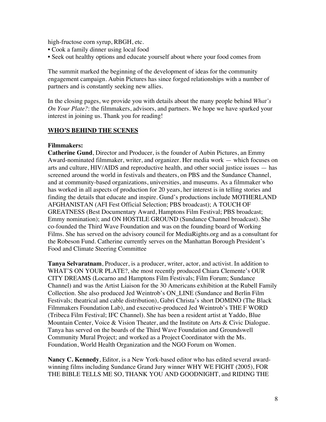high-fructose corn syrup, RBGH, etc.

- Cook a family dinner using local food
- Seek out healthy options and educate yourself about where your food comes from

The summit marked the beginning of the development of ideas for the community engagement campaign. Aubin Pictures has since forged relationships with a number of partners and is constantly seeking new allies.

In the closing pages, we provide you with details about the many people behind *What's On Your Plate?*: the filmmakers, advisors, and partners. We hope we have sparked your interest in joining us. Thank you for reading!

## **WHO'S BEHIND THE SCENES**

#### **Filmmakers:**

**Catherine Gund**, Director and Producer, is the founder of Aubin Pictures, an Emmy Award-nominated filmmaker, writer, and organizer. Her media work — which focuses on arts and culture, HIV/AIDS and reproductive health, and other social justice issues — has screened around the world in festivals and theaters, on PBS and the Sundance Channel, and at community-based organizations, universities, and museums. As a filmmaker who has worked in all aspects of production for 20 years, her interest is in telling stories and finding the details that educate and inspire. Gund's productions include MOTHERLAND AFGHANISTAN (AFI Fest Official Selection; PBS broadcast); A TOUCH OF GREATNESS (Best Documentary Award, Hamptons Film Festival; PBS broadcast; Emmy nomination); and ON HOSTILE GROUND (Sundance Channel broadcast). She co-founded the Third Wave Foundation and was on the founding board of Working Films. She has served on the advisory council for MediaRights.org and as a consultant for the Robeson Fund. Catherine currently serves on the Manhattan Borough President's Food and Climate Steering Committee

**Tanya Selvaratnam**, Producer, is a producer, writer, actor, and activist. In addition to WHAT'S ON YOUR PLATE?, she most recently produced Chiara Clemente's OUR CITY DREAMS (Locarno and Hamptons Film Festivals; Film Forum; Sundance Channel) and was the Artist Liaison for the 30 Americans exhibition at the Rubell Family Collection. She also produced Jed Weintrob's ON\_LINE (Sundance and Berlin Film Festivals; theatrical and cable distribution), Gabri Christa's short DOMINO (The Black Filmmakers Foundation Lab), and executive-produced Jed Weintrob's THE F WORD (Tribeca Film Festival; IFC Channel). She has been a resident artist at Yaddo, Blue Mountain Center, Voice & Vision Theater, and the Institute on Arts & Civic Dialogue. Tanya has served on the boards of the Third Wave Foundation and Groundswell Community Mural Project; and worked as a Project Coordinator with the Ms. Foundation, World Health Organization and the NGO Forum on Women.

**Nancy C. Kennedy**, Editor, is a New York-based editor who has edited several awardwinning films including Sundance Grand Jury winner WHY WE FIGHT (2005), FOR THE BIBLE TELLS ME SO, THANK YOU AND GOODNIGHT, and RIDING THE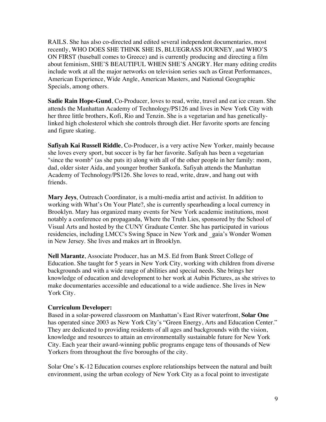RAILS. She has also co-directed and edited several independent documentaries, most recently, WHO DOES SHE THINK SHE IS, BLUEGRASS JOURNEY, and WHO'S ON FIRST (baseball comes to Greece) and is currently producing and directing a film about feminism, SHE'S BEAUTIFUL WHEN SHE'S ANGRY. Her many editing credits include work at all the major networks on television series such as Great Performances, American Experience, Wide Angle, American Masters, and National Geographic Specials, among others.

**Sadie Rain Hope-Gund**, Co-Producer, loves to read, write, travel and eat ice cream. She attends the Manhattan Academy of Technology/PS126 and lives in New York City with her three little brothers, Kofi, Rio and Tenzin. She is a vegetarian and has geneticallylinked high cholesterol which she controls through diet. Her favorite sports are fencing and figure skating.

**Safiyah Kai Russell Riddle**, Co-Producer, is a very active New Yorker, mainly because she loves every sport, but soccer is by far her favorite. Safiyah has been a vegetarian "since the womb" (as she puts it) along with all of the other people in her family: mom, dad, older sister Aida, and younger brother Sankofa. Safiyah attends the Manhattan Academy of Technology/PS126. She loves to read, write, draw, and hang out with friends.

**Mary Jeys**, Outreach Coordinator, is a multi-media artist and activist. In addition to working with What's On Your Plate?, she is currently spearheading a local currency in Brooklyn. Mary has organized many events for New York academic institutions, most notably a conference on propaganda, Where the Truth Lies, sponsored by the School of Visual Arts and hosted by the CUNY Graduate Center. She has participated in various residencies, including LMCC's Swing Space in New York and \_gaia's Wonder Women in New Jersey. She lives and makes art in Brooklyn.

**Nell Marantz**, Associate Producer, has an M.S. Ed from Bank Street College of Education. She taught for 5 years in New York City, working with children from diverse backgrounds and with a wide range of abilities and special needs. She brings her knowledge of education and development to her work at Aubin Pictures, as she strives to make documentaries accessible and educational to a wide audience. She lives in New York City.

#### **Curriculum Developer:**

Based in a solar-powered classroom on Manhattan's East River waterfront, **Solar One** has operated since 2003 as New York City's "Green Energy, Arts and Education Center." They are dedicated to providing residents of all ages and backgrounds with the vision, knowledge and resources to attain an environmentally sustainable future for New York City. Each year their award-winning public programs engage tens of thousands of New Yorkers from throughout the five boroughs of the city.

Solar One's K-12 Education courses explore relationships between the natural and built environment, using the urban ecology of New York City as a focal point to investigate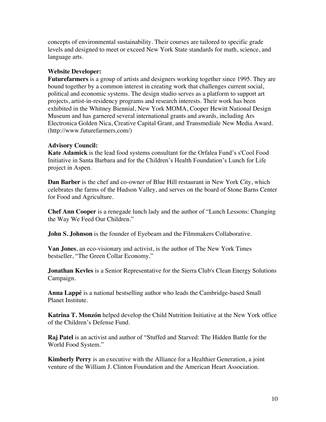concepts of environmental sustainability. Their courses are tailored to specific grade levels and designed to meet or exceed New York State standards for math, science, and language arts.

## **Website Developer:**

**Futurefarmers** is a group of artists and designers working together since 1995. They are bound together by a common interest in creating work that challenges current social, political and economic systems. The design studio serves as a platform to support art projects, artist-in-residency programs and research interests. Their work has been exhibited in the Whitney Biennial, New York MOMA, Cooper Hewitt National Design Museum and has garnered several international grants and awards, including Ars Electronica Golden Nica, Creative Capital Grant, and Transmediale New Media Award. (http://www.futurefarmers.com/)

#### **Advisory Council:**

**Kate Adamick** is the lead food systems consultant for the Orfalea Fund's s'Cool Food Initiative in Santa Barbara and for the Children's Health Foundation's Lunch for Life project in Aspen.

**Dan Barber** is the chef and co-owner of Blue Hill restaurant in New York City, which celebrates the farms of the Hudson Valley, and serves on the board of Stone Barns Center for Food and Agriculture.

**Chef Ann Cooper** is a renegade lunch lady and the author of "Lunch Lessons: Changing the Way We Feed Our Children."

**John S. Johnson** is the founder of Eyebeam and the Filmmakers Collaborative.

**Van Jones**, an eco-visionary and activist, is the author of The New York Times bestseller, "The Green Collar Economy."

**Jonathan Kevles** is a Senior Representative for the Sierra Club's Clean Energy Solutions Campaign.

**Anna Lappé** is a national bestselling author who leads the Cambridge-based Small Planet Institute.

**Katrina T. Monzón** helped develop the Child Nutrition Initiative at the New York office of the Children's Defense Fund.

**Raj Patel** is an activist and author of "Stuffed and Starved: The Hidden Battle for the World Food System."

**Kimberly Perry** is an executive with the Alliance for a Healthier Generation, a joint venture of the William J. Clinton Foundation and the American Heart Association.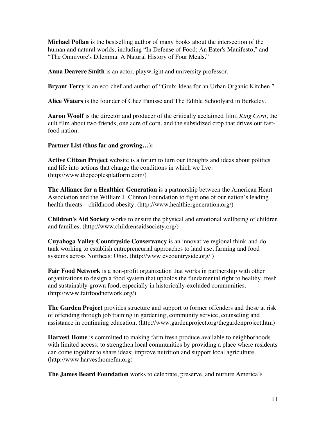**Michael Pollan** is the bestselling author of many books about the intersection of the human and natural worlds, including "In Defense of Food: An Eater's Manifesto," and "The Omnivore's Dilemma: A Natural History of Four Meals."

**Anna Deavere Smith** is an actor, playwright and university professor.

**Bryant Terry** is an eco-chef and author of "Grub: Ideas for an Urban Organic Kitchen."

**Alice Waters** is the founder of Chez Panisse and The Edible Schoolyard in Berkeley.

**Aaron Woolf** is the director and producer of the critically acclaimed film, *King Corn*, the cult film about two friends, one acre of corn, and the subsidized crop that drives our fastfood nation.

**Partner List (thus far and growing…):**

**Active Citizen Project** website is a forum to turn our thoughts and ideas about politics and life into actions that change the conditions in which we live. (http://www.thepeoplesplatform.com/)

**The Alliance for a Healthier Generation** is a partnership between the American Heart Association and the William J. Clinton Foundation to fight one of our nation's leading health threats – childhood obesity. (http://www.healthiergeneration.org/)

**Children's Aid Society** works to ensure the physical and emotional wellbeing of children and families. (http://www.childrensaidsociety.org/)

**Cuyahoga Valley Countryside Conservancy** is an innovative regional think-and-do tank working to establish entrepreneurial approaches to land use, farming and food systems across Northeast Ohio. (http://www.cvcountryside.org/ )

**Fair Food Network** is a non-profit organization that works in partnership with other organizations to design a food system that upholds the fundamental right to healthy, fresh and sustainably-grown food, especially in historically-excluded communities. (http://www.fairfoodnetwork.org/)

**The Garden Project** provides structure and support to former offenders and those at risk of offending through job training in gardening, community service, counseling and assistance in continuing education. (http://www.gardenproject.org/thegardenproject.htm)

**Harvest Home** is committed to making farm fresh produce available to neighborhoods with limited access; to strengthen local communities by providing a place where residents can come together to share ideas; improve nutrition and support local agriculture. (http://www.harvesthomefm.org)

**The James Beard Foundation** works to celebrate, preserve, and nurture America's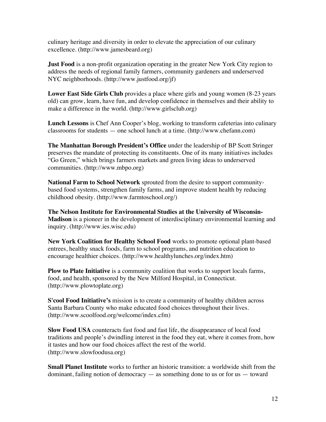culinary heritage and diversity in order to elevate the appreciation of our culinary excellence. (http://www.jamesbeard.org)

**Just Food** is a non-profit organization operating in the greater New York City region to address the needs of regional family farmers, community gardeners and underserved NYC neighborhoods. (http://www.justfood.org/jf)

**Lower East Side Girls Club** provides a place where girls and young women (8-23 years old) can grow, learn, have fun, and develop confidence in themselves and their ability to make a difference in the world. (http://www.girlsclub.org)

**Lunch Lessons** is Chef Ann Cooper's blog, working to transform cafeterias into culinary classrooms for students — one school lunch at a time. (http://www.chefann.com)

**The Manhattan Borough President's Office** under the leadership of BP Scott Stringer preserves the mandate of protecting its constituents. One of its many initiatives includes "Go Green," which brings farmers markets and green living ideas to underserved communities. (http://www.mbpo.org)

**National Farm to School Network** sprouted from the desire to support communitybased food systems, strengthen family farms, and improve student health by reducing childhood obesity. (http://www.farmtoschool.org/)

**The Nelson Institute for Environmental Studies at the University of Wisconsin-Madison** is a pioneer in the development of interdisciplinary environmental learning and inquiry. (http://www.ies.wisc.edu)

**New York Coalition for Healthy School Food** works to promote optional plant-based entrees, healthy snack foods, farm to school programs, and nutrition education to encourage healthier choices. (http://www.healthylunches.org/index.htm)

**Plow to Plate Initiative** is a community coalition that works to support locals farms, food, and health, sponsored by the New Milford Hospital, in Connecticut. (http://www.plowtoplate.org)

**S'cool Food Initiative's** mission is to create a community of healthy children across Santa Barbara County who make educated food choices throughout their lives. (http://www.scoolfood.org/welcome/index.cfm)

**Slow Food USA** counteracts fast food and fast life, the disappearance of local food traditions and people's dwindling interest in the food they eat, where it comes from, how it tastes and how our food choices affect the rest of the world. (http://www.slowfoodusa.org)

**Small Planet Institute** works to further an historic transition: a worldwide shift from the dominant, failing notion of democracy — as something done to us or for us — toward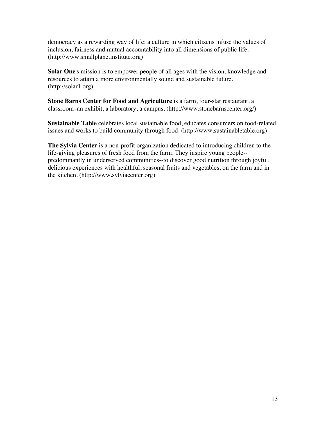democracy as a rewarding way of life: a culture in which citizens infuse the values of inclusion, fairness and mutual accountability into all dimensions of public life. (http://www.smallplanetinstitute.org)

**Solar One**'s mission is to empower people of all ages with the vision, knowledge and resources to attain a more environmentally sound and sustainable future. (http://solar1.org)

**Stone Barns Center for Food and Agriculture** is a farm, four-star restaurant, a classroom–an exhibit, a laboratory, a campus. (http://www.stonebarnscenter.org/)

**Sustainable Table** celebrates local sustainable food, educates consumers on food-related issues and works to build community through food. (http://www.sustainabletable.org)

**The Sylvia Center** is a non-profit organization dedicated to introducing children to the life-giving pleasures of fresh food from the farm. They inspire young people- predominantly in underserved communities--to discover good nutrition through joyful, delicious experiences with healthful, seasonal fruits and vegetables, on the farm and in the kitchen. (http://www.sylviacenter.org)